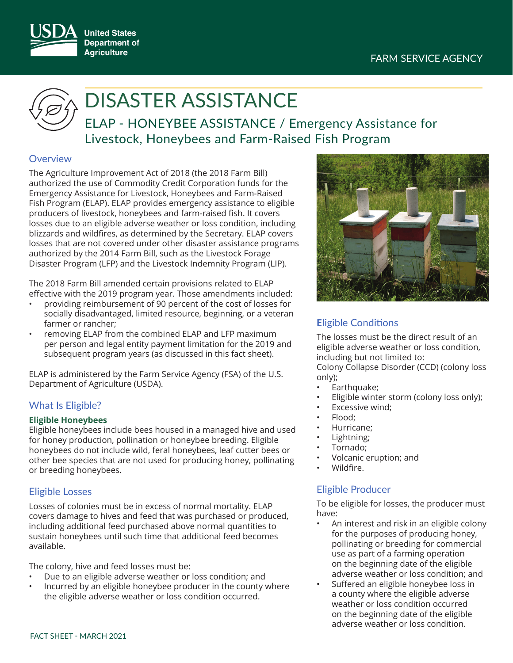



# DISASTER ASSISTANCE

ELAP - HONEYBEE ASSISTANCE / Emergency Assistance for Livestock, Honeybees and Farm-Raised Fish Program

# **Overview**

The Agriculture Improvement Act of 2018 (the 2018 Farm Bill) authorized the use of Commodity Credit Corporation funds for the Emergency Assistance for Livestock, Honeybees and Farm-Raised Fish Program (ELAP). ELAP provides emergency assistance to eligible producers of livestock, honeybees and farm-raised fish. It covers losses due to an eligible adverse weather or loss condition, including blizzards and wildfires, as determined by the Secretary. ELAP covers losses that are not covered under other disaster assistance programs authorized by the 2014 Farm Bill, such as the Livestock Forage Disaster Program (LFP) and the Livestock Indemnity Program (LIP).

The 2018 Farm Bill amended certain provisions related to ELAP effective with the 2019 program year. Those amendments included:

- providing reimbursement of 90 percent of the cost of losses for socially disadvantaged, limited resource, beginning, or a veteran farmer or rancher;
- removing ELAP from the combined ELAP and LFP maximum per person and legal entity payment limitation for the 2019 and subsequent program years (as discussed in this fact sheet).

ELAP is administered by the Farm Service Agency (FSA) of the U.S. Department of Agriculture (USDA).

# What Is Eligible?

# **Eligible Honeybees**

Eligible honeybees include bees housed in a managed hive and used for honey production, pollination or honeybee breeding. Eligible honeybees do not include wild, feral honeybees, leaf cutter bees or other bee species that are not used for producing honey, pollinating or breeding honeybees.

# Eligible Losses

Losses of colonies must be in excess of normal mortality. ELAP covers damage to hives and feed that was purchased or produced, including additional feed purchased above normal quantities to sustain honeybees until such time that additional feed becomes available.

The colony, hive and feed losses must be:

- Due to an eligible adverse weather or loss condition; and
- Incurred by an eligible honeybee producer in the county where the eligible adverse weather or loss condition occurred.



# **Eligible Conditions**

The losses must be the direct result of an eligible adverse weather or loss condition, including but not limited to:

Colony Collapse Disorder (CCD) (colony loss only);

- Earthquake;
- Eligible winter storm (colony loss only);
- Excessive wind:
- Flood:
- Hurricane;
- Lightning;
- Tornado;
- Volcanic eruption; and
- Wildfire.

# Eligible Producer

To be eligible for losses, the producer must have:

- An interest and risk in an eligible colony for the purposes of producing honey, pollinating or breeding for commercial use as part of a farming operation on the beginning date of the eligible adverse weather or loss condition; and
- Suffered an eligible honeybee loss in a county where the eligible adverse weather or loss condition occurred on the beginning date of the eligible adverse weather or loss condition.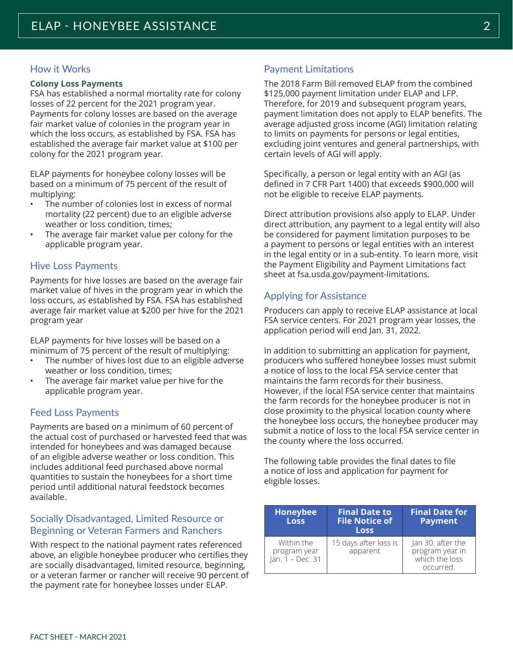# How it Works

#### **Colony Loss Payments**

FSA has established a normal mortality rate for colony losses of 22 percent for the 2021 program year. Payments for colony losses are based on the average fair market value of colonies in the program year in which the loss occurs, as established by FSA. FSA has established the average fair market value at \$100 per colony for the 2021 program year.

ELAP payments for honeybee colony losses will be based on a minimum of 75 percent of the result of multiplying:

- The number of colonies lost in excess of normal mortality (22 percent) due to an eligible adverse weather or loss condition, times;
- The average fair market value per colony for the applicable program year.

## Hive Loss Payments

Payments for hive losses are based on the average fair market value of hives in the program year in which the loss occurs, as established by FSA. FSA has established average fair market value at \$200 per hive for the 2021 program year

ELAP payments for hive losses will be based on a minimum of 75 percent of the result of multiplying:

- The number of hives lost due to an eligible adverse weather or loss condition, times;
- The average fair market value per hive for the applicable program year.

## Feed Loss Payments

Payments are based on a minimum of 60 percent of the actual cost of purchased or harvested feed that was intended for honeybees and was damaged because of an eligible adverse weather or loss condition. This includes additional feed purchased above normal quantities to sustain the honeybees for a short time period until additional natural feedstock becomes available.

## Socially Disadvantaged, Limited Resource or Beginning or Veteran Farmers and Ranchers

With respect to the national payment rates referenced above, an eligible honeybee producer who certifies they are socially disadvantaged, limited resource, beginning, or a veteran farmer or rancher will receive 90 percent of the payment rate for honeybee losses under ELAP.

## Payment Limitations

The 2018 Farm Bill removed ELAP from the combined \$125,000 payment limitation under ELAP and LFP. Therefore, for 2019 and subsequent program years, payment limitation does not apply to ELAP benefits. The average adjusted gross income (AGI) limitation relating to limits on payments for persons or legal entities, excluding joint ventures and general partnerships, with certain levels of AGI will apply.

Specifically, a person or legal entity with an AGI (as defined in 7 CFR Part 1400) that exceeds \$900,000 will not be eligible to receive ELAP payments.

Direct attribution provisions also apply to ELAP. Under direct attribution, any payment to a legal entity will also be considered for payment limitation purposes to be a payment to persons or legal entities with an interest in the legal entity or in a sub-entity. To learn more, visit the Payment Eligibility and Payment Limitations fact sheet at fsa.usda.gov/payment-limitations.

## Applying for Assistance

Producers can apply to receive ELAP assistance at local FSA service centers. For 2021 program year losses, the application period will end Jan. 31, 2022.

In addition to submitting an application for payment, producers who suffered honeybee losses must submit a notice of loss to the local FSA service center that maintains the farm records for their business. However, if the local FSA service center that maintains the farm records for the honeybee producer is not in close proximity to the physical location county where the honeybee loss occurs, the honeybee producer may submit a notice of loss to the local FSA service center in the county where the loss occurred.

The following table provides the final dates to file a notice of loss and application for payment for eligible losses.

| <b>Honeybee</b><br><b>Loss</b>                 | <b>Final Date to.</b><br><b>File Notice of</b><br><b>Loss</b> | <b>Final Date for</b><br><b>Payment</b>                             |
|------------------------------------------------|---------------------------------------------------------------|---------------------------------------------------------------------|
| Within the<br>program year<br>Jan. 1 - Dec. 31 | 15 days after loss is<br>apparent                             | Jan 30. after the<br>program year in<br>which the loss<br>occurred. |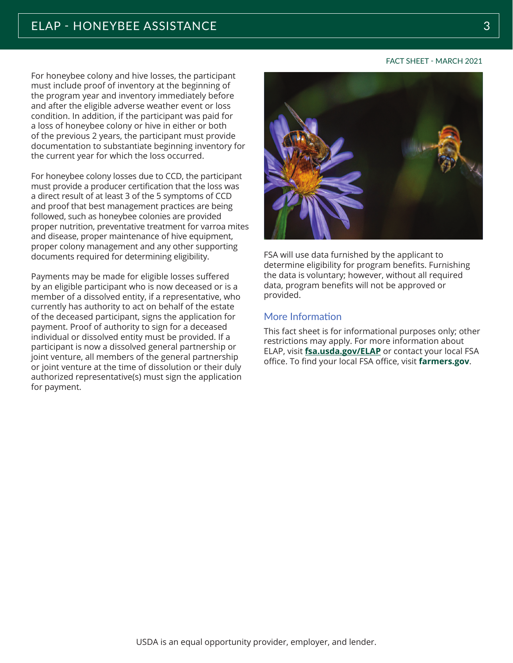For honeybee colony and hive losses, the participant must include proof of inventory at the beginning of the program year and inventory immediately before and after the eligible adverse weather event or loss condition. In addition, if the participant was paid for a loss of honeybee colony or hive in either or both of the previous 2 years, the participant must provide documentation to substantiate beginning inventory for the current year for which the loss occurred.

For honeybee colony losses due to CCD, the participant must provide a producer certification that the loss was a direct result of at least 3 of the 5 symptoms of CCD and proof that best management practices are being followed, such as honeybee colonies are provided proper nutrition, preventative treatment for varroa mites and disease, proper maintenance of hive equipment, proper colony management and any other supporting documents required for determining eligibility.

Payments may be made for eligible losses suffered by an eligible participant who is now deceased or is a member of a dissolved entity, if a representative, who currently has authority to act on behalf of the estate of the deceased participant, signs the application for payment. Proof of authority to sign for a deceased individual or dissolved entity must be provided. If a participant is now a dissolved general partnership or joint venture, all members of the general partnership or joint venture at the time of dissolution or their duly authorized representative(s) must sign the application for payment.



FSA will use data furnished by the applicant to determine eligibility for program benefits. Furnishing the data is voluntary; however, without all required data, program benefits will not be approved or provided.

### More Information

This fact sheet is for informational purposes only; other restrictions may apply. For more information about ELAP, visit fsa.usda.gov/ELAP or contact your local FSA office. To find your local FSA office, visit farmers.gov.

FACT SHEET - MARCH 2021